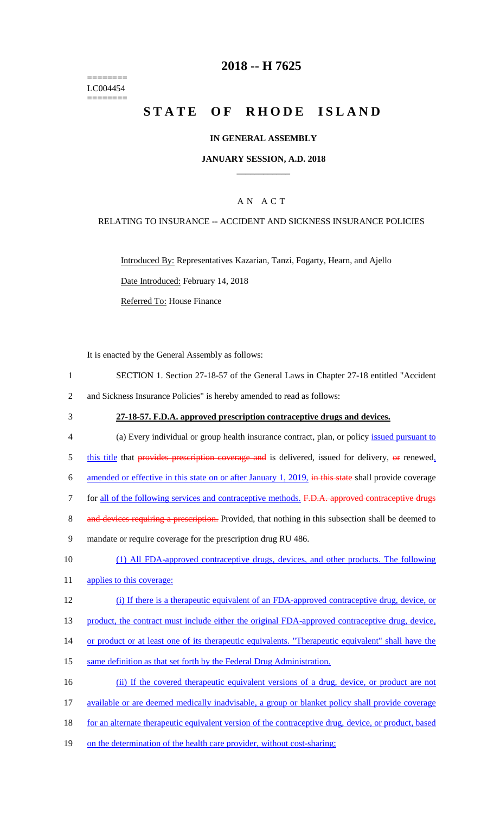======== LC004454 ========

#### **2018 -- H 7625**

### **STATE OF RHODE ISLAND**

#### **IN GENERAL ASSEMBLY**

#### **JANUARY SESSION, A.D. 2018 \_\_\_\_\_\_\_\_\_\_\_\_**

#### A N A C T

#### RELATING TO INSURANCE -- ACCIDENT AND SICKNESS INSURANCE POLICIES

Introduced By: Representatives Kazarian, Tanzi, Fogarty, Hearn, and Ajello

Date Introduced: February 14, 2018

Referred To: House Finance

It is enacted by the General Assembly as follows:

- 1 SECTION 1. Section 27-18-57 of the General Laws in Chapter 27-18 entitled "Accident 2 and Sickness Insurance Policies" is hereby amended to read as follows:
- 

#### 3 **27-18-57. F.D.A. approved prescription contraceptive drugs and devices.**

- 4 (a) Every individual or group health insurance contract, plan, or policy issued pursuant to
- $5$  this title that provides prescription coverage and is delivered, issued for delivery,  $\Theta$  renewed,
- 6 amended or effective in this state on or after January 1, 2019, in this state shall provide coverage
- 7 for all of the following services and contraceptive methods. F.D.A. approved contraceptive drugs
- 8 and devices requiring a prescription. Provided, that nothing in this subsection shall be deemed to
- 9 mandate or require coverage for the prescription drug RU 486.
- 10 (1) All FDA-approved contraceptive drugs, devices, and other products. The following
- 11 applies to this coverage:
- 12 (i) If there is a therapeutic equivalent of an FDA-approved contraceptive drug, device, or

13 product, the contract must include either the original FDA-approved contraceptive drug, device,

- 14 or product or at least one of its therapeutic equivalents. "Therapeutic equivalent" shall have the
- 15 same definition as that set forth by the Federal Drug Administration.
- 16 (ii) If the covered therapeutic equivalent versions of a drug, device, or product are not
- 17 available or are deemed medically inadvisable, a group or blanket policy shall provide coverage
- 18 for an alternate therapeutic equivalent version of the contraceptive drug, device, or product, based
- 19 on the determination of the health care provider, without cost-sharing;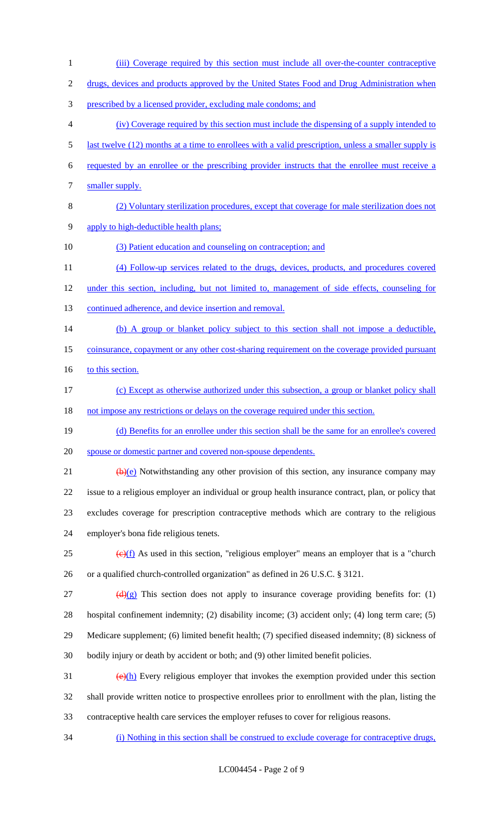prescribed by a licensed provider, excluding male condoms; and (iv) Coverage required by this section must include the dispensing of a supply intended to last twelve (12) months at a time to enrollees with a valid prescription, unless a smaller supply is requested by an enrollee or the prescribing provider instructs that the enrollee must receive a 7 smaller supply. (2) Voluntary sterilization procedures, except that coverage for male sterilization does not apply to high-deductible health plans; (3) Patient education and counseling on contraception; and (4) Follow-up services related to the drugs, devices, products, and procedures covered under this section, including, but not limited to, management of side effects, counseling for 13 continued adherence, and device insertion and removal. 14 (b) A group or blanket policy subject to this section shall not impose a deductible, coinsurance, copayment or any other cost-sharing requirement on the coverage provided pursuant 16 to this section. (c) Except as otherwise authorized under this subsection, a group or blanket policy shall 18 not impose any restrictions or delays on the coverage required under this section. (d) Benefits for an enrollee under this section shall be the same for an enrollee's covered spouse or domestic partner and covered non-spouse dependents.  $(b)(e)$  Notwithstanding any other provision of this section, any insurance company may issue to a religious employer an individual or group health insurance contract, plan, or policy that excludes coverage for prescription contraceptive methods which are contrary to the religious employer's bona fide religious tenets.  $\frac{1}{25}$  (e)(f) As used in this section, "religious employer" means an employer that is a "church or a qualified church-controlled organization" as defined in 26 U.S.C. § 3121. 27 (d)(g) This section does not apply to insurance coverage providing benefits for: (1) hospital confinement indemnity; (2) disability income; (3) accident only; (4) long term care; (5) Medicare supplement; (6) limited benefit health; (7) specified diseased indemnity; (8) sickness of bodily injury or death by accident or both; and (9) other limited benefit policies.  $\left(\frac{\Theta(h)}{h}\right)$  Every religious employer that invokes the exemption provided under this section shall provide written notice to prospective enrollees prior to enrollment with the plan, listing the

(iii) Coverage required by this section must include all over-the-counter contraceptive

2 drugs, devices and products approved by the United States Food and Drug Administration when

- contraceptive health care services the employer refuses to cover for religious reasons.
- (i) Nothing in this section shall be construed to exclude coverage for contraceptive drugs,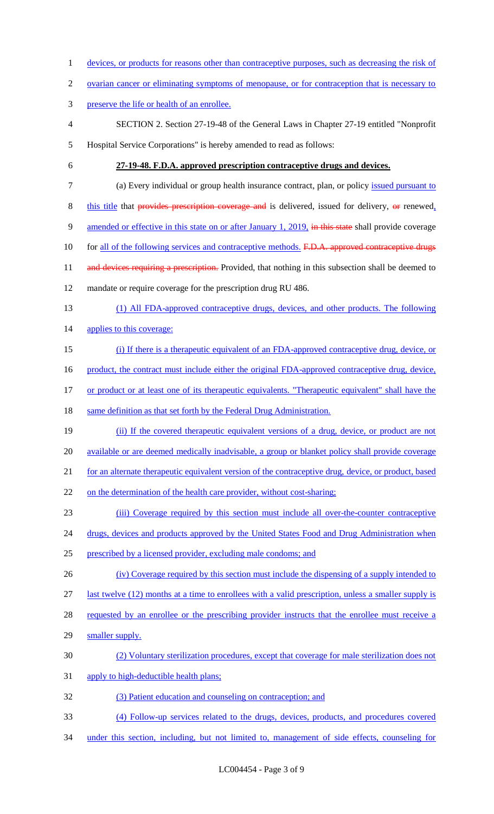- 1 devices, or products for reasons other than contraceptive purposes, such as decreasing the risk of
- 2 ovarian cancer or eliminating symptoms of menopause, or for contraception that is necessary to
- 3 preserve the life or health of an enrollee.
- 4 SECTION 2. Section 27-19-48 of the General Laws in Chapter 27-19 entitled "Nonprofit 5 Hospital Service Corporations" is hereby amended to read as follows:
- 

#### 6 **27-19-48. F.D.A. approved prescription contraceptive drugs and devices.**

- 7 (a) Every individual or group health insurance contract, plan, or policy issued pursuant to
- 8 this title that provides prescription coverage and is delivered, issued for delivery, or renewed,
- 9 amended or effective in this state on or after January 1, 2019, in this state shall provide coverage
- 10 for all of the following services and contraceptive methods. F.D.A. approved contraceptive drugs
- 11 and devices requiring a prescription. Provided, that nothing in this subsection shall be deemed to
- 12 mandate or require coverage for the prescription drug RU 486.
- 13 (1) All FDA-approved contraceptive drugs, devices, and other products. The following
- 14 applies to this coverage:
- 15 (i) If there is a therapeutic equivalent of an FDA-approved contraceptive drug, device, or
- 16 product, the contract must include either the original FDA-approved contraceptive drug, device,
- 17 or product or at least one of its therapeutic equivalents. "Therapeutic equivalent" shall have the
- 18 same definition as that set forth by the Federal Drug Administration.
- 19 (ii) If the covered therapeutic equivalent versions of a drug, device, or product are not 20 available or are deemed medically inadvisable, a group or blanket policy shall provide coverage 21 for an alternate therapeutic equivalent version of the contraceptive drug, device, or product, based
- 22 on the determination of the health care provider, without cost-sharing;
- 23 (iii) Coverage required by this section must include all over-the-counter contraceptive
- 24 drugs, devices and products approved by the United States Food and Drug Administration when
- 25 prescribed by a licensed provider, excluding male condoms; and
- 26 (iv) Coverage required by this section must include the dispensing of a supply intended to
- 27 last twelve (12) months at a time to enrollees with a valid prescription, unless a smaller supply is
- 28 requested by an enrollee or the prescribing provider instructs that the enrollee must receive a
- 29 smaller supply.
- 30 (2) Voluntary sterilization procedures, except that coverage for male sterilization does not
- 31 apply to high-deductible health plans;
- 32 (3) Patient education and counseling on contraception; and
- 33 (4) Follow-up services related to the drugs, devices, products, and procedures covered
- 34 under this section, including, but not limited to, management of side effects, counseling for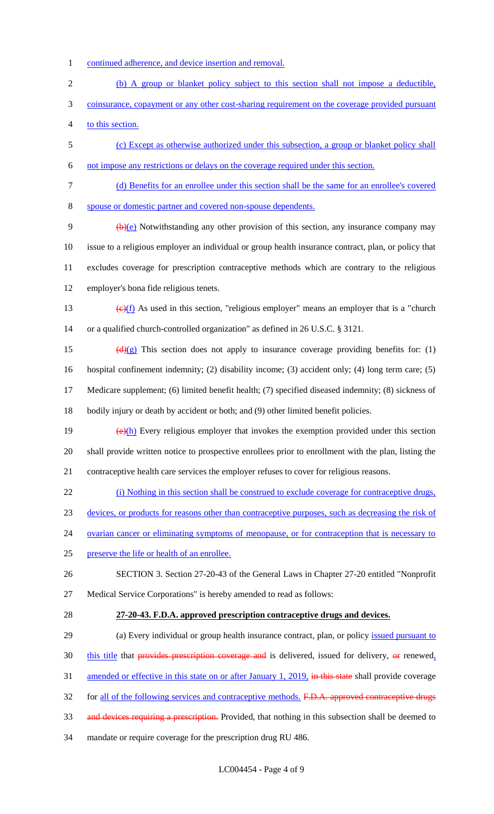- 1 continued adherence, and device insertion and removal.
- (b) A group or blanket policy subject to this section shall not impose a deductible,
- 3 coinsurance, copayment or any other cost-sharing requirement on the coverage provided pursuant
- to this section.
- (c) Except as otherwise authorized under this subsection, a group or blanket policy shall
- not impose any restrictions or delays on the coverage required under this section.
- (d) Benefits for an enrollee under this section shall be the same for an enrollee's covered

spouse or domestic partner and covered non-spouse dependents.

 $\left(\frac{b}{c}\right)$  Notwithstanding any other provision of this section, any insurance company may issue to a religious employer an individual or group health insurance contract, plan, or policy that excludes coverage for prescription contraceptive methods which are contrary to the religious employer's bona fide religious tenets.

- 13  $\left(\frac{e}{f}\right)$  As used in this section, "religious employer" means an employer that is a "church or a qualified church-controlled organization" as defined in 26 U.S.C. § 3121.
- 15 ( $\left(\frac{d}{g}\right)$  This section does not apply to insurance coverage providing benefits for: (1) hospital confinement indemnity; (2) disability income; (3) accident only; (4) long term care; (5)

 Medicare supplement; (6) limited benefit health; (7) specified diseased indemnity; (8) sickness of bodily injury or death by accident or both; and (9) other limited benefit policies.

- 19  $(e)(h)$  Every religious employer that invokes the exemption provided under this section shall provide written notice to prospective enrollees prior to enrollment with the plan, listing the contraceptive health care services the employer refuses to cover for religious reasons.
- (i) Nothing in this section shall be construed to exclude coverage for contraceptive drugs,
- devices, or products for reasons other than contraceptive purposes, such as decreasing the risk of
- 24 ovarian cancer or eliminating symptoms of menopause, or for contraception that is necessary to
- preserve the life or health of an enrollee.
- SECTION 3. Section 27-20-43 of the General Laws in Chapter 27-20 entitled "Nonprofit Medical Service Corporations" is hereby amended to read as follows:
- 

#### **27-20-43. F.D.A. approved prescription contraceptive drugs and devices.**

- 29 (a) Every individual or group health insurance contract, plan, or policy issued pursuant to this title that provides prescription coverage and is delivered, issued for delivery,  $\Theta$  renewed, 31 amended or effective in this state on or after January 1, 2019, in this state shall provide coverage 32 for all of the following services and contraceptive methods. F.D.A. approved contraceptive drugs
- 33 and devices requiring a prescription. Provided, that nothing in this subsection shall be deemed to
- mandate or require coverage for the prescription drug RU 486.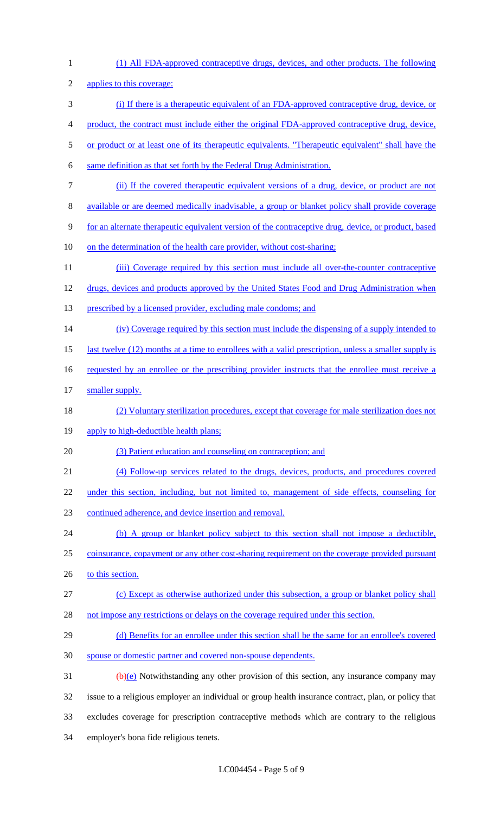| $\mathbf{1}$   | (1) All FDA-approved contraceptive drugs, devices, and other products. The following                      |
|----------------|-----------------------------------------------------------------------------------------------------------|
| $\overline{2}$ | applies to this coverage:                                                                                 |
| 3              | (i) If there is a therapeutic equivalent of an FDA-approved contraceptive drug, device, or                |
| 4              | product, the contract must include either the original FDA-approved contraceptive drug, device,           |
| 5              | or product or at least one of its therapeutic equivalents. "Therapeutic equivalent" shall have the        |
| 6              | same definition as that set forth by the Federal Drug Administration.                                     |
| 7              | (ii) If the covered therapeutic equivalent versions of a drug, device, or product are not                 |
| $8\,$          | available or are deemed medically inadvisable, a group or blanket policy shall provide coverage           |
| 9              | for an alternate therapeutic equivalent version of the contraceptive drug, device, or product, based      |
| 10             | on the determination of the health care provider, without cost-sharing;                                   |
| 11             | (iii) Coverage required by this section must include all over-the-counter contraceptive                   |
| 12             | drugs, devices and products approved by the United States Food and Drug Administration when               |
| 13             | prescribed by a licensed provider, excluding male condoms; and                                            |
| 14             | (iv) Coverage required by this section must include the dispensing of a supply intended to                |
| 15             | last twelve (12) months at a time to enrollees with a valid prescription, unless a smaller supply is      |
| 16             | requested by an enrollee or the prescribing provider instructs that the enrollee must receive a           |
| 17             | smaller supply.                                                                                           |
| 18             | (2) Voluntary sterilization procedures, except that coverage for male sterilization does not              |
| 19             | apply to high-deductible health plans;                                                                    |
| 20             | (3) Patient education and counseling on contraception; and                                                |
| 21             | (4) Follow-up services related to the drugs, devices, products, and procedures covered                    |
| 22             | under this section, including, but not limited to, management of side effects, counseling for             |
| 23             | continued adherence, and device insertion and removal.                                                    |
| 24             | (b) A group or blanket policy subject to this section shall not impose a deductible,                      |
| 25             | coinsurance, copayment or any other cost-sharing requirement on the coverage provided pursuant            |
| 26             | to this section.                                                                                          |
| 27             | (c) Except as otherwise authorized under this subsection, a group or blanket policy shall                 |
| 28             | not impose any restrictions or delays on the coverage required under this section.                        |
| 29             | (d) Benefits for an enrollee under this section shall be the same for an enrollee's covered               |
| 30             | spouse or domestic partner and covered non-spouse dependents.                                             |
| 31             | $\left(\frac{b}{c}\right)$ Notwithstanding any other provision of this section, any insurance company may |
| 32             | issue to a religious employer an individual or group health insurance contract, plan, or policy that      |
| 33             | excludes coverage for prescription contraceptive methods which are contrary to the religious              |
| 34             | employer's bona fide religious tenets.                                                                    |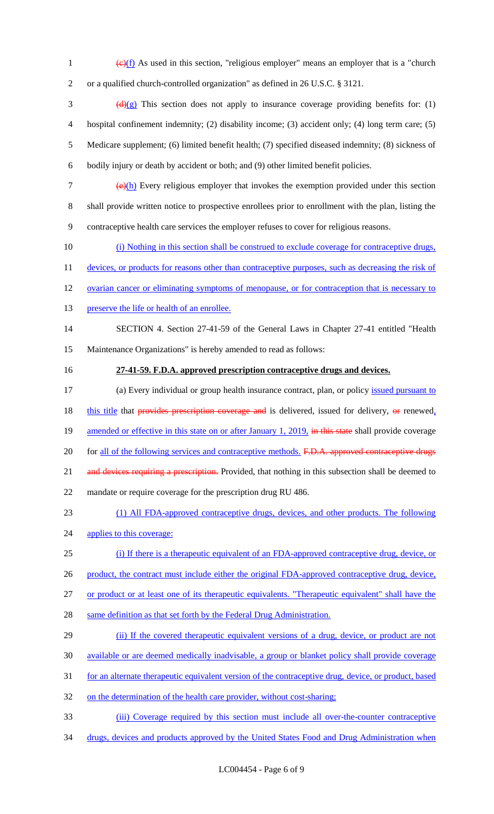- 1  $\left(\frac{e}{f}\right)$  As used in this section, "religious employer" means an employer that is a "church 2 or a qualified church-controlled organization" as defined in 26 U.S.C. § 3121.
- $\frac{d(x)}{dx}$  This section does not apply to insurance coverage providing benefits for: (1) 4 hospital confinement indemnity; (2) disability income; (3) accident only; (4) long term care; (5) 5 Medicare supplement; (6) limited benefit health; (7) specified diseased indemnity; (8) sickness of 6 bodily injury or death by accident or both; and (9) other limited benefit policies.
- 7  $\left(\frac{e}{h}\right)$  Every religious employer that invokes the exemption provided under this section 8 shall provide written notice to prospective enrollees prior to enrollment with the plan, listing the 9 contraceptive health care services the employer refuses to cover for religious reasons.
- 10 (i) Nothing in this section shall be construed to exclude coverage for contraceptive drugs,
- 11 devices, or products for reasons other than contraceptive purposes, such as decreasing the risk of
- 12 ovarian cancer or eliminating symptoms of menopause, or for contraception that is necessary to
- 13 preserve the life or health of an enrollee.

# 14 SECTION 4. Section 27-41-59 of the General Laws in Chapter 27-41 entitled "Health

- 15 Maintenance Organizations" is hereby amended to read as follows:
- 

#### 16 **27-41-59. F.D.A. approved prescription contraceptive drugs and devices.**

- 17 (a) Every individual or group health insurance contract, plan, or policy issued pursuant to 18 this title that provides prescription coverage and is delivered, issued for delivery, or renewed, 19 amended or effective in this state on or after January 1, 2019, in this state shall provide coverage 20 for all of the following services and contraceptive methods. F.D.A. approved contraceptive drugs 21 and devices requiring a prescription. Provided, that nothing in this subsection shall be deemed to 22 mandate or require coverage for the prescription drug RU 486. 23 (1) All FDA-approved contraceptive drugs, devices, and other products. The following
- 24 applies to this coverage:
- 25 (i) If there is a therapeutic equivalent of an FDA-approved contraceptive drug, device, or
- 26 product, the contract must include either the original FDA-approved contraceptive drug, device,
- 27 or product or at least one of its therapeutic equivalents. "Therapeutic equivalent" shall have the
- 28 same definition as that set forth by the Federal Drug Administration.
- 29 (ii) If the covered therapeutic equivalent versions of a drug, device, or product are not
- 30 available or are deemed medically inadvisable, a group or blanket policy shall provide coverage
- 31 for an alternate therapeutic equivalent version of the contraceptive drug, device, or product, based
- 32 on the determination of the health care provider, without cost-sharing;
- 33 (iii) Coverage required by this section must include all over-the-counter contraceptive
- 34 drugs, devices and products approved by the United States Food and Drug Administration when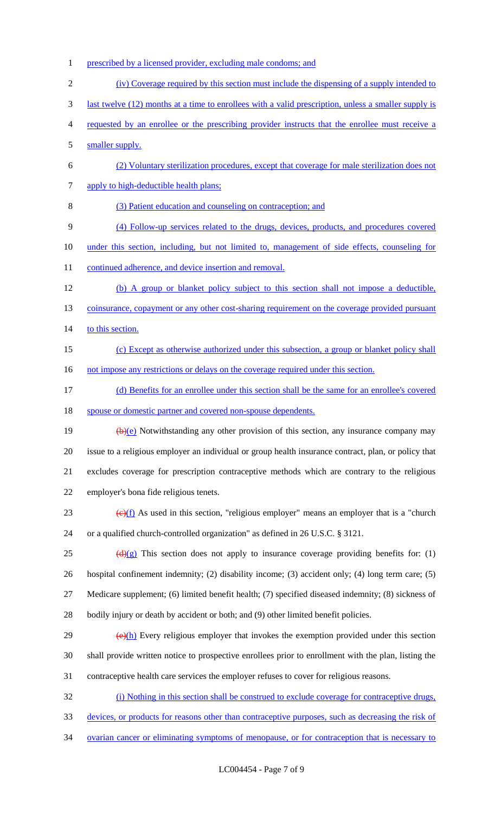- 1 prescribed by a licensed provider, excluding male condoms; and
- (iv) Coverage required by this section must include the dispensing of a supply intended to
- last twelve (12) months at a time to enrollees with a valid prescription, unless a smaller supply is
- requested by an enrollee or the prescribing provider instructs that the enrollee must receive a
- 5 smaller supply.
- (2) Voluntary sterilization procedures, except that coverage for male sterilization does not apply to high-deductible health plans;
- (3) Patient education and counseling on contraception; and
- (4) Follow-up services related to the drugs, devices, products, and procedures covered
- under this section, including, but not limited to, management of side effects, counseling for
- 11 continued adherence, and device insertion and removal.
- (b) A group or blanket policy subject to this section shall not impose a deductible, 13 coinsurance, copayment or any other cost-sharing requirement on the coverage provided pursuant
- 14 to this section.
- (c) Except as otherwise authorized under this subsection, a group or blanket policy shall 16 not impose any restrictions or delays on the coverage required under this section.
- (d) Benefits for an enrollee under this section shall be the same for an enrollee's covered spouse or domestic partner and covered non-spouse dependents.
- 19  $(b)(e)$  Notwithstanding any other provision of this section, any insurance company may issue to a religious employer an individual or group health insurance contract, plan, or policy that excludes coverage for prescription contraceptive methods which are contrary to the religious employer's bona fide religious tenets.
- 23  $\left(\frac{e}{f}\right)$  As used in this section, "religious employer" means an employer that is a "church" or a qualified church-controlled organization" as defined in 26 U.S.C. § 3121.
- 25 (d)(g) This section does not apply to insurance coverage providing benefits for: (1) hospital confinement indemnity; (2) disability income; (3) accident only; (4) long term care; (5) Medicare supplement; (6) limited benefit health; (7) specified diseased indemnity; (8) sickness of
- bodily injury or death by accident or both; and (9) other limited benefit policies.
- $\frac{29}{(e)(h)}$  Every religious employer that invokes the exemption provided under this section shall provide written notice to prospective enrollees prior to enrollment with the plan, listing the contraceptive health care services the employer refuses to cover for religious reasons.
- (i) Nothing in this section shall be construed to exclude coverage for contraceptive drugs,
- devices, or products for reasons other than contraceptive purposes, such as decreasing the risk of
- ovarian cancer or eliminating symptoms of menopause, or for contraception that is necessary to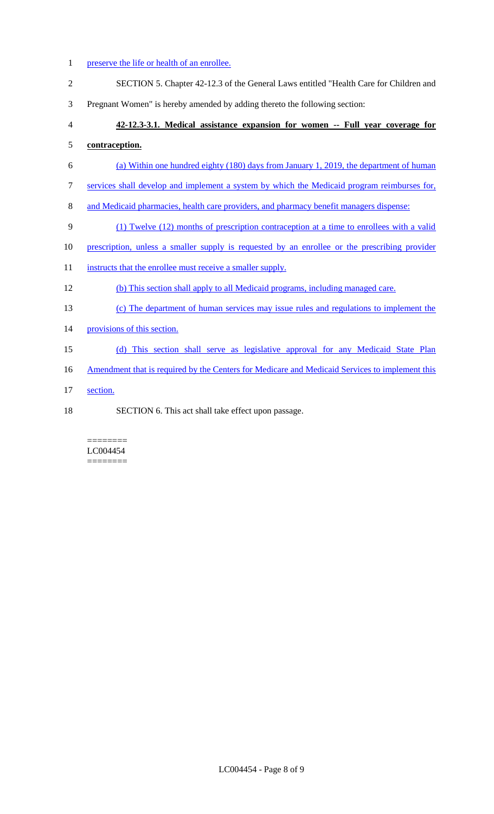#### 1 preserve the life or health of an enrollee.

- SECTION 5. Chapter 42-12.3 of the General Laws entitled "Health Care for Children and
- Pregnant Women" is hereby amended by adding thereto the following section:

## **42-12.3-3.1. Medical assistance expansion for women -- Full year coverage for contraception.**

- (a) Within one hundred eighty (180) days from January 1, 2019, the department of human
- services shall develop and implement a system by which the Medicaid program reimburses for,
- and Medicaid pharmacies, health care providers, and pharmacy benefit managers dispense:
- (1) Twelve (12) months of prescription contraception at a time to enrollees with a valid
- prescription, unless a smaller supply is requested by an enrollee or the prescribing provider
- 11 instructs that the enrollee must receive a smaller supply.
- (b) This section shall apply to all Medicaid programs, including managed care.
- (c) The department of human services may issue rules and regulations to implement the
- 14 provisions of this section.
- (d) This section shall serve as legislative approval for any Medicaid State Plan
- 16 Amendment that is required by the Centers for Medicare and Medicaid Services to implement this
- section.
- SECTION 6. This act shall take effect upon passage.

#### ======== LC004454 ========